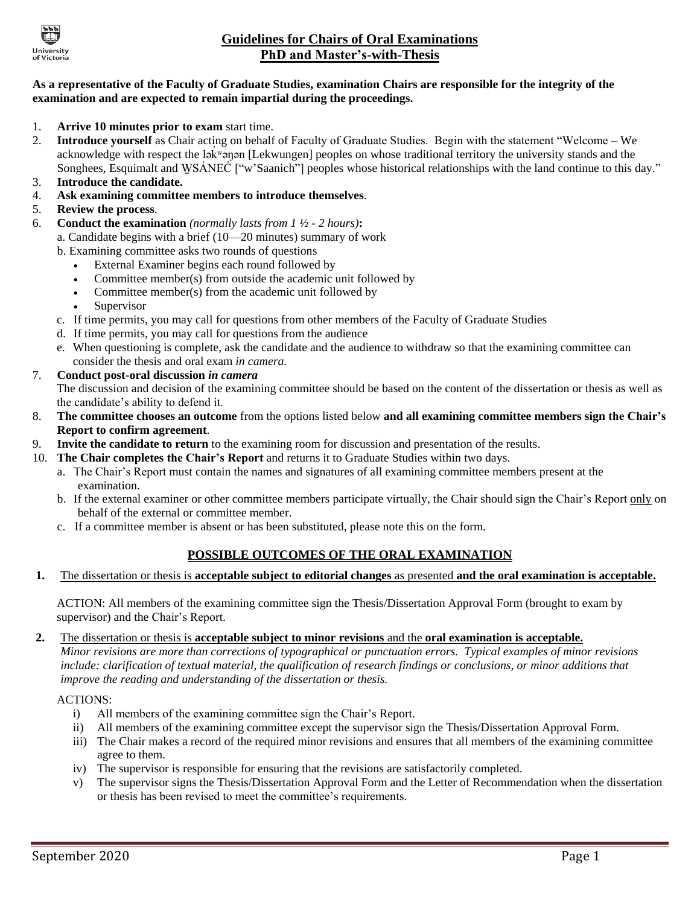

# **Guidelines for Chairs of Oral Examinations PhD and Master's-with-Thesis**

### **As a representative of the Faculty of Graduate Studies, examination Chairs are responsible for the integrity of the examination and are expected to remain impartial during the proceedings.**

- 1. **Arrive 10 minutes prior to exam** start time.
- 2. **Introduce yourself** as Chair acting on behalf of Faculty of Graduate Studies. Begin with the statement "Welcome We acknowledge with respect the ləkwənən [Lekwungen] peoples on whose traditional territory the university stands and the Songhees, Esquimalt and WSÁNEĆ ["w'Saanich"] peoples whose historical relationships with the land continue to this day."
- 3. **Introduce the candidate.**
- 4. **Ask examining committee members to introduce themselves**.
- 5. **Review the process**.
- 6. **Conduct the examination** *(normally lasts from 1 ½ - 2 hours)***:**
	- a. Candidate begins with a brief (10—20 minutes) summary of work
		- b. Examining committee asks two rounds of questions
			- External Examiner begins each round followed by
			- Committee member(s) from outside the academic unit followed by
			- Committee member(s) from the academic unit followed by
			- Supervisor
		- c. If time permits, you may call for questions from other members of the Faculty of Graduate Studies
		- d. If time permits, you may call for questions from the audience
		- e. When questioning is complete, ask the candidate and the audience to withdraw so that the examining committee can consider the thesis and oral exam *in camera.*
- 7. **Conduct post-oral discussion** *in camera* The discussion and decision of the examining committee should be based on the content of the dissertation or thesis as well as the candidate's ability to defend it.
- 8. **The committee chooses an outcome** from the options listed below **and all examining committee members sign the Chair's Report to confirm agreement**.
- 9. **Invite the candidate to return** to the examining room for discussion and presentation of the results.
- 10. **The Chair completes the Chair's Report** and returns it to Graduate Studies within two days.
	- a. The Chair's Report must contain the names and signatures of all examining committee members present at the examination.
	- b. If the external examiner or other committee members participate virtually, the Chair should sign the Chair's Report only on behalf of the external or committee member.
	- c. If a committee member is absent or has been substituted, please note this on the form.

## **POSSIBLE OUTCOMES OF THE ORAL EXAMINATION**

**1.** The dissertation or thesis is **acceptable subject to editorial changes** as presented **and the oral examination is acceptable.**

ACTION: All members of the examining committee sign the Thesis/Dissertation Approval Form (brought to exam by supervisor) and the Chair's Report.

**2.** The dissertation or thesis is **acceptable subject to minor revisions** and the **oral examination is acceptable.**

*Minor revisions are more than corrections of typographical or punctuation errors. Typical examples of minor revisions include: clarification of textual material, the qualification of research findings or conclusions, or minor additions that improve the reading and understanding of the dissertation or thesis.*

### ACTIONS:

- i) All members of the examining committee sign the Chair's Report.
- ii) All members of the examining committee except the supervisor sign the Thesis/Dissertation Approval Form.
- iii) The Chair makes a record of the required minor revisions and ensures that all members of the examining committee agree to them.
- iv) The supervisor is responsible for ensuring that the revisions are satisfactorily completed.
- v) The supervisor signs the Thesis/Dissertation Approval Form and the Letter of Recommendation when the dissertation or thesis has been revised to meet the committee's requirements.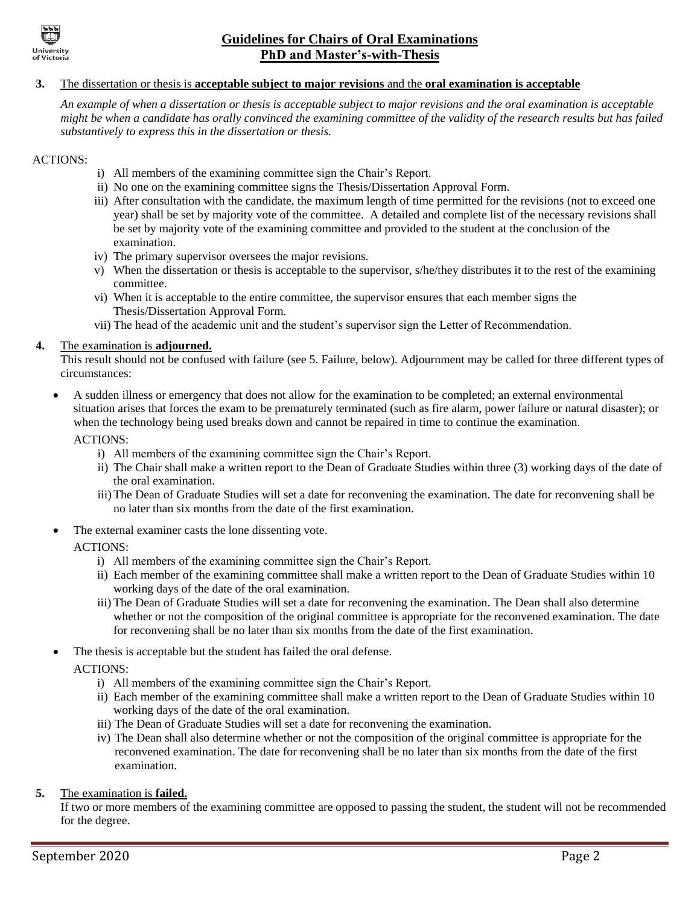

# **Guidelines for Chairs of Oral Examinations PhD and Master's-with-Thesis**

### **3.** The dissertation or thesis is **acceptable subject to major revisions** and the **oral examination is acceptable**

*An example of when a dissertation or thesis is acceptable subject to major revisions and the oral examination is acceptable might be when a candidate has orally convinced the examining committee of the validity of the research results but has failed substantively to express this in the dissertation or thesis.*

#### ACTIONS:

- i) All members of the examining committee sign the Chair's Report.
- ii) No one on the examining committee signs the Thesis/Dissertation Approval Form.
- iii) After consultation with the candidate, the maximum length of time permitted for the revisions (not to exceed one year) shall be set by majority vote of the committee. A detailed and complete list of the necessary revisions shall be set by majority vote of the examining committee and provided to the student at the conclusion of the examination.
- iv) The primary supervisor oversees the major revisions.
- v) When the dissertation or thesis is acceptable to the supervisor, s/he/they distributes it to the rest of the examining committee.
- vi) When it is acceptable to the entire committee, the supervisor ensures that each member signs the Thesis/Dissertation Approval Form.
- vii) The head of the academic unit and the student's supervisor sign the Letter of Recommendation.

### **4.** The examination is **adjourned.**

This result should not be confused with failure (see 5. Failure, below). Adjournment may be called for three different types of circumstances:

 A sudden illness or emergency that does not allow for the examination to be completed; an external environmental situation arises that forces the exam to be prematurely terminated (such as fire alarm, power failure or natural disaster); or when the technology being used breaks down and cannot be repaired in time to continue the examination.

ACTIONS:

- i) All members of the examining committee sign the Chair's Report.
- ii) The Chair shall make a written report to the Dean of Graduate Studies within three (3) working days of the date of the oral examination.
- iii)The Dean of Graduate Studies will set a date for reconvening the examination. The date for reconvening shall be no later than six months from the date of the first examination.
- The external examiner casts the lone dissenting vote.

## ACTIONS:

- i) All members of the examining committee sign the Chair's Report.
- ii) Each member of the examining committee shall make a written report to the Dean of Graduate Studies within 10 working days of the date of the oral examination.
- iii) The Dean of Graduate Studies will set a date for reconvening the examination. The Dean shall also determine whether or not the composition of the original committee is appropriate for the reconvened examination. The date for reconvening shall be no later than six months from the date of the first examination.
- The thesis is acceptable but the student has failed the oral defense.

ACTIONS:

- i) All members of the examining committee sign the Chair's Report.
- ii) Each member of the examining committee shall make a written report to the Dean of Graduate Studies within 10 working days of the date of the oral examination.
- iii) The Dean of Graduate Studies will set a date for reconvening the examination.
- iv) The Dean shall also determine whether or not the composition of the original committee is appropriate for the reconvened examination. The date for reconvening shall be no later than six months from the date of the first examination.

## **5.** The examination is **failed.**

If two or more members of the examining committee are opposed to passing the student, the student will not be recommended for the degree.